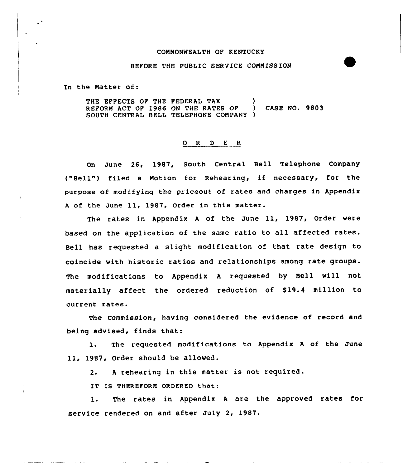#### CONNONWEALTH OF KENTUCKY

#### BEFORE THE PUBLIC SERVICE COMMISSION

In the Natter of:

THE EFFECTS OF THE FEDERAL TAX (a)<br>REFORM ACT OF 1986 ON THE RATES OF (a) CASE NO. 9803 REFORM ACT OF 1986 ON THE RATES OF SOUTH CENTRAL BELL TELEPHONE COMPANY )

#### 0 <sup>R</sup> <sup>D</sup> <sup>E</sup> <sup>R</sup>

On June 26, 1987, South Central Bell Telephone Company {"Bell") filed <sup>a</sup> Notion for Rehearing, if necessary, for the purpose of modifying the priceout of rates and charges in Appendix <sup>A</sup> of the June 11, 1987, Order in this matter.

The rates in Appendix <sup>A</sup> of the June ll, 1987, Order were based on the application of the same ratio to all affected rates. Bell has requested a slight modification of that rate design to coincide with historic ratios and relationships among rate groups. The modifications to Appendix <sup>A</sup> requested by Bell will not materially affect the ordered reduction of \$19.4 million to current rates.

The Commission, having considered the evidence of record and being advised, finds that:

1. The requested modifications to Appendix <sup>A</sup> of the June 11, 1987, Order should be allowed.

2. A rehearing in this matter is not required.

IT IS THEREFORE ORDERED that:

1. The rates in Appendix <sup>A</sup> are the approved rates for service rendered on and after July 2, 1987.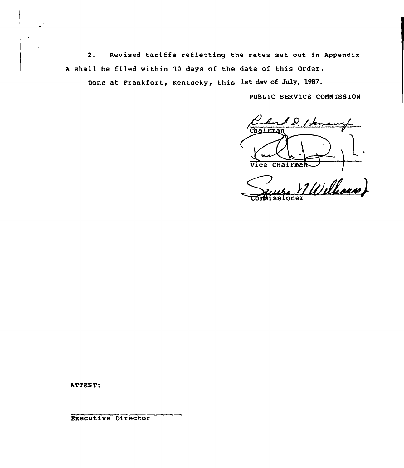2. Revised tariffs reflecting the rates set out in Appendix <sup>A</sup> shall be filed within 30 days of the date of this Order.

Done at Frankfort, Kentucky, this 1st day of July, 1987.

PUBLIC SERVICE CONNISS ION

 $S.$  / dem Vice Chairman /

Williams) ssioner

ATTEST:

Executive Director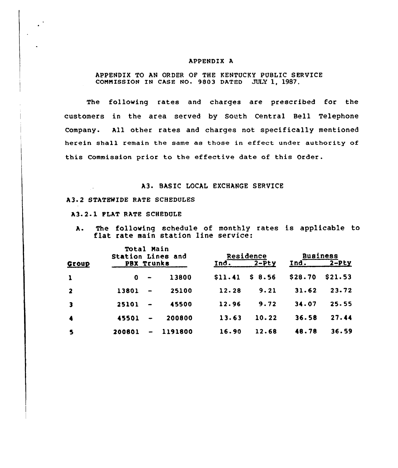#### APPENDIX A

#### APPENDIX TO AN ORDER OF THE KENTUCKY PUBLIC SERVICE COMMISSION IN CASE NO. 9803 DATED JULY 1, 1987.

The following rates and charges are prescribed for the customers in the area served by South Central Bell Telephone Company. All other rates and charges not specifically mentioned herein shall remain the same as those in effect under authority of this Commission prior to the effective date of this Order.

#### A3. BASIC LOCAL EXCHANGE SERVICE

#### A3.2 STATEWIDE RATE SCHEDULES

#### A3.2-1 PLAT RATE SCHEDUIE

A. The following schedule of monthly rates is applicable to flat rate main station line service:

|                         | Total Main<br>Station Lines and |                          |         | Residence |         | <b>Business</b> |         |
|-------------------------|---------------------------------|--------------------------|---------|-----------|---------|-----------------|---------|
| Group                   | PBX Trunks                      |                          |         | Ind.      | $2-Pty$ | Ind.            | $2-Pty$ |
| $\mathbf{1}$            | 0                               | $\overline{\phantom{a}}$ | 13800   | \$11.41   | \$8.56  | \$28.70         | \$21.53 |
| $\overline{2}$          | 13801                           |                          | 25100   | 12.28     | 9.21    | 31.62           | 23.72   |
| $\overline{\mathbf{3}}$ | 25101                           |                          | 45500   | 12.96     | 9.72    | 34.07           | 25.55   |
| $\blacktriangleleft$    | 45501                           |                          | 200800  | 13.63     | 10.22   | 36.58           | 27.44   |
| 5                       | 200801                          |                          | 1191800 | 16.90     | 12.68   | 48.78           | 36.59   |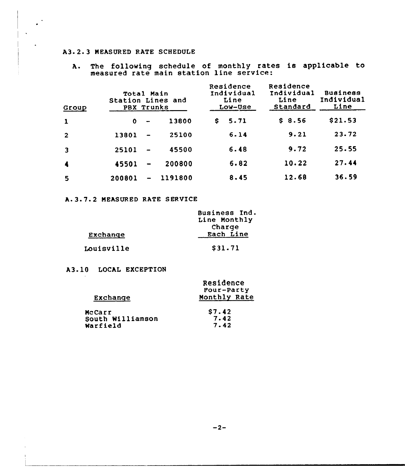# A3.2.3 MEASURED RATE SCHEDULE

# A. The following schedule of monthly rates is applicable to measured rate main station line service

| Group                   | Total Main<br>Station Lines and<br>PBX Trunks |                          |         | Residence<br>Individual<br>Line<br>Low-Use | Residence<br>Individual<br>Line<br>Standard | <b>Business</b><br>Individual<br>Line |
|-------------------------|-----------------------------------------------|--------------------------|---------|--------------------------------------------|---------------------------------------------|---------------------------------------|
| $\mathbf{1}$            | $\mathbf 0$                                   | $\overline{\phantom{a}}$ | 13800   | 5.71<br>\$                                 | \$8.56                                      | \$21.53                               |
| $\overline{2}$          | 13801                                         |                          | 25100   | 6.14                                       | 9.21                                        | 23.72                                 |
| $\overline{\mathbf{3}}$ | 25101                                         |                          | 45500   | 6.48                                       | 9.72                                        | 25.55                                 |
| $\blacktriangleleft$    | 45501                                         |                          | 200800  | 6.82                                       | 10.22                                       | 27.44                                 |
| 5                       | 200801                                        |                          | 1191800 | 8.45                                       | 12.68                                       | 36.59                                 |

#### A. 3.7.2 MEASURED RATE SERVICE

|                   | Business Ind.<br>Line Monthly |
|-------------------|-------------------------------|
| Exchange          | Charge<br>Each Line           |
| <b>Louisville</b> | \$31.71                       |

## A3- 10 LOCAL EXCEPTION

|                  | Residence    |  |  |  |
|------------------|--------------|--|--|--|
|                  | Four-Party   |  |  |  |
| Exchange         | Monthly Rate |  |  |  |
| McCarr           | \$7.42       |  |  |  |
| South Williamson | 7.42         |  |  |  |
| Warfield         | 7.42         |  |  |  |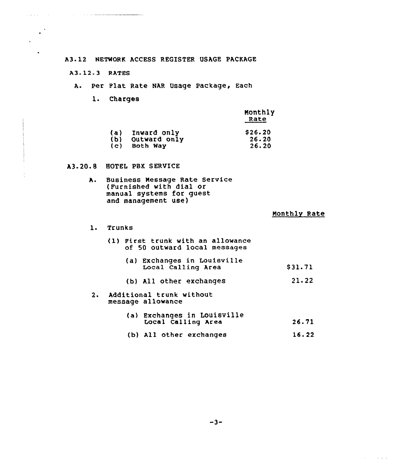## A3. 12 NETWORK ACCESS REGISTER USAGE PACKAGE

A3- 12- 3 RATES

<u>and a straightful and straightful and the straight of the straight straight and</u>

and and

 $\ddot{\phantom{a}}$ 

 $\bullet$ 

- A.. Per Flat Rate MAR Usage Package, Each
	- 1. Charges

|              | Monthly<br>Rate |
|--------------|-----------------|
| Inward only  | \$26.20         |
| Outward only | 26.20           |
| Both Way     | 26.20           |
|              |                 |

### A3.20.8 HOTEL PBX SERVICE

A- Business Message Rate Service (Furnished with dial or manual systems for guest and management use)

### monthly Rate

 $\mathcal{L}^{\text{max}}$  , where  $\mathcal{L}^{\text{max}}$ 

1. Trunks

|    | (1) First trunk with an allowance<br>of 50 outward local messages |         |
|----|-------------------------------------------------------------------|---------|
|    | (a) Exchanges in Louisville<br>Local Calling Area                 | \$31.71 |
|    | (b) All other exchanges                                           | 21.22   |
| 2. | Additional trunk without<br>message allowance                     |         |
|    | (a) Exchanges in Louisville<br>Local Calling Area                 | 26.71   |
|    | (b) All other exchanges                                           | 16.22   |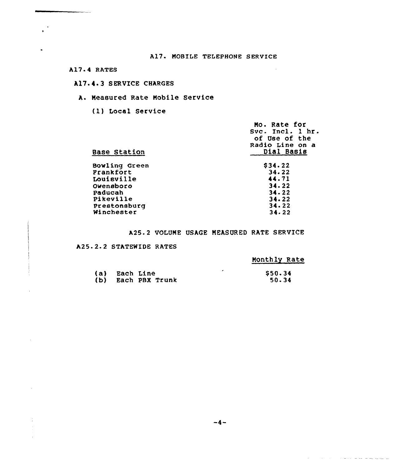A17- 4 RATES

## A17.4.3 SERVICE CHARGES

## A. Neasured Rate Nobile Service

(1) Local Service

| <b>Base Station</b> | Mo. Rate for<br>Svc. Incl. 1 hr<br>of Use of the<br>Radio Line on a<br>Dial Basis |
|---------------------|-----------------------------------------------------------------------------------|
| Bowling Green       | \$34.22                                                                           |
| Frankfort           | 34.22                                                                             |
| Louisville          | 44.71                                                                             |
| Owensboro           | 34.22                                                                             |
| Paducah             | 34.22                                                                             |
| Pikeville           | 34.22                                                                             |
| Prestonsburg        | 34.22                                                                             |
| Winchester          | 34.22                                                                             |
|                     |                                                                                   |

## A25- 2 VOLUNE USAGE NEASURED RATE SERVICE

A25.2.2 STATEWIDE RATES

# Nonthly Rate

سأستشهد والمستحدث والمتحدث والمتحدث

|       | (a) Each Line |                | \$50.34 |
|-------|---------------|----------------|---------|
| (b) - |               | Each PBX Trunk | 50.34   |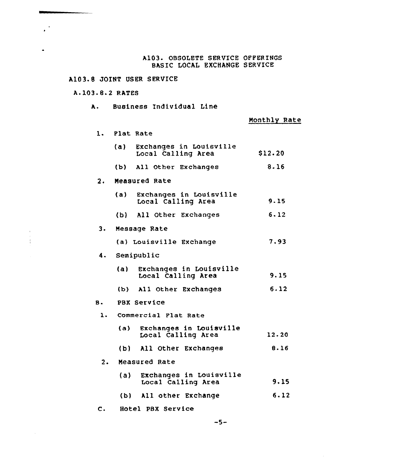## A103. OBSOLETE SERVICE OFFERINGS BASIC LOCAL EXCHANGE SERVICE

### A103 8 JOINT USER SERVICE

## A.103.8.2 RATES

 $\bullet$ 

 $\mathbf{r}$  $\frac{1}{4}$ 

 $\mathcal{L}_{\mathcal{L}}$ 

- A. Business Individual Line
- Monthly Rate

| 1. |     | Flat Rate                                         |         |
|----|-----|---------------------------------------------------|---------|
|    | (a) | Exchanges in Louisville<br>Local Calling Area     | \$12.20 |
|    |     | (b) All Other Exchanges                           | 8.16    |
| 2. |     | Measured Rate                                     |         |
|    |     | (a) Exchanges in Louisville<br>Local Calling Area | 9.15    |
|    |     | (b) All Other Exchanges                           | 6.12    |
| з. |     | Message Rate                                      |         |
|    |     | (a) Louisville Exchange                           | 7.93    |
| 4. |     | Semipublic                                        |         |
|    | (a) | Exchanges in Louisville<br>Local Calling Area     | 9.15    |
|    |     | (b) All Other Exchanges                           | 6.12    |
| в. |     | PBX Service                                       |         |
| 1. |     | Commercial Flat Rate                              |         |
|    | (a) | Exchanges in Louisville<br>Local Calling Area     | 12.20   |
|    |     | (b) All Other Exchanges                           | 8.16    |
| 2. |     | Measured Rate                                     |         |
|    | (a) | Exchanges in Louisville<br>Local Calling Area     | 9.15    |
|    |     | (b) All other Exchange                            | 6.12    |

C. Hotel PBX Service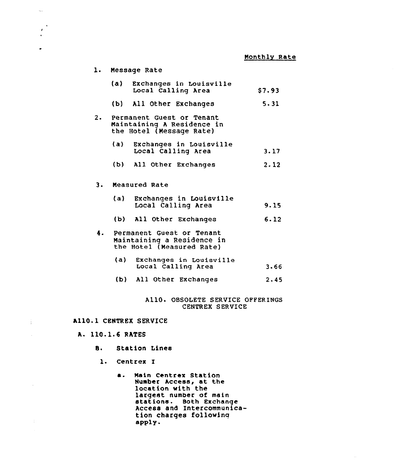|    | 1. Message Rate                                                                      |        |  |  |
|----|--------------------------------------------------------------------------------------|--------|--|--|
|    | (a) Exchanges in Louisville<br>Local Calling Area                                    | \$7.93 |  |  |
|    | (b) All Other Exchanges                                                              | 5.31   |  |  |
| 2. | Permanent Guest or Tenant<br>Maintaining A Residence in<br>the Hotel (Message Rate)  |        |  |  |
|    | Exchanges in Louisville<br>(a)<br>Local Calling Area                                 | 3.17   |  |  |
|    | (b) All Other Exchanges                                                              | 2.12   |  |  |
|    | 3. Measured Rate                                                                     |        |  |  |
|    | (a) Exchanges in Louisville<br>Local Calling Area                                    | 9.15   |  |  |
|    | (b) All Other Exchanges                                                              | 6.12   |  |  |
| 4. | Permanent Guest or Tenant<br>Maintaining a Residence in<br>the Hotel (Measured Rate) |        |  |  |
|    | (a) —<br>Exchanges in Louisville<br>Local Calling Area                               | 3.66   |  |  |
|    | (b) All Other Exchanges                                                              | 2.45   |  |  |

#### AllO. OBSOLETE SERVICE OFFERINGS CENTREX SERVICE

### Alia.l CENTREX SERVICE

A. 110.1.6 RATES

 $\sim$  .

 $\bullet$ 

 $\frac{1}{4}$  ,  $\frac{1}{2}$ 

 $\Delta\phi$  .

 $\sim$ 

 $\mathcal{A}$ 

- 8. Station Lines
- l. Centrex <sup>I</sup>
	- a. Main Centrex Station Number Access, at the location with the largest number of main<br>stations. Both Exchange Access and Intercommunic tion charges following apply.